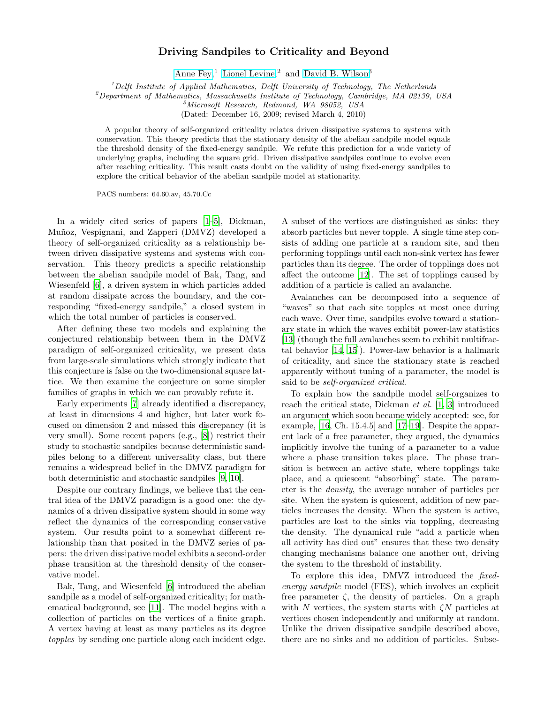## Driving Sandpiles to Criticality and Beyond

[Anne Fey,](mailto:a.c.fey-denboer@tudelft.nl)<sup>1</sup> [Lionel Levine,](http://math.mit.edu/~levine)<sup>2</sup> and [David B. Wilson](http://dbwilson.com)<sup>3</sup>

 ${}^{1}$ Delft Institute of Applied Mathematics, Delft University of Technology, The Netherlands

 $^{2}$ Department of Mathematics, Massachusetts Institute of Technology, Cambridge, MA 02139, USA

<sup>3</sup>Microsoft Research, Redmond, WA 98052, USA

(Dated: December 16, 2009; revised March 4, 2010)

A popular theory of self-organized criticality relates driven dissipative systems to systems with conservation. This theory predicts that the stationary density of the abelian sandpile model equals the threshold density of the fixed-energy sandpile. We refute this prediction for a wide variety of underlying graphs, including the square grid. Driven dissipative sandpiles continue to evolve even after reaching criticality. This result casts doubt on the validity of using fixed-energy sandpiles to explore the critical behavior of the abelian sandpile model at stationarity.

PACS numbers: 64.60.av, 45.70.Cc

In a widely cited series of papers [\[1](#page-3-0)[–5\]](#page-3-1), Dickman, Muñoz, Vespignani, and Zapperi (DMVZ) developed a theory of self-organized criticality as a relationship between driven dissipative systems and systems with conservation. This theory predicts a specific relationship between the abelian sandpile model of Bak, Tang, and Wiesenfeld [\[6](#page-3-2)], a driven system in which particles added at random dissipate across the boundary, and the corresponding "fixed-energy sandpile," a closed system in which the total number of particles is conserved.

After defining these two models and explaining the conjectured relationship between them in the DMVZ paradigm of self-organized criticality, we present data from large-scale simulations which strongly indicate that this conjecture is false on the two-dimensional square lattice. We then examine the conjecture on some simpler families of graphs in which we can provably refute it.

Early experiments [\[7](#page-3-3)] already identified a discrepancy, at least in dimensions 4 and higher, but later work focused on dimension 2 and missed this discrepancy (it is very small). Some recent papers (e.g., [\[8\]](#page-3-4)) restrict their study to stochastic sandpiles because deterministic sandpiles belong to a different universality class, but there remains a widespread belief in the DMVZ paradigm for both deterministic and stochastic sandpiles [\[9](#page-3-5), [10](#page-3-6)].

Despite our contrary findings, we believe that the central idea of the DMVZ paradigm is a good one: the dynamics of a driven dissipative system should in some way reflect the dynamics of the corresponding conservative system. Our results point to a somewhat different relationship than that posited in the DMVZ series of papers: the driven dissipative model exhibits a second-order phase transition at the threshold density of the conservative model.

Bak, Tang, and Wiesenfeld [\[6\]](#page-3-2) introduced the abelian sandpile as a model of self-organized criticality; for mathematical background, see [\[11\]](#page-3-7). The model begins with a collection of particles on the vertices of a finite graph. A vertex having at least as many particles as its degree topples by sending one particle along each incident edge.

A subset of the vertices are distinguished as sinks: they absorb particles but never topple. A single time step consists of adding one particle at a random site, and then performing topplings until each non-sink vertex has fewer particles than its degree. The order of topplings does not affect the outcome [\[12](#page-3-8)]. The set of topplings caused by addition of a particle is called an avalanche.

Avalanches can be decomposed into a sequence of "waves" so that each site topples at most once during each wave. Over time, sandpiles evolve toward a stationary state in which the waves exhibit power-law statistics [\[13\]](#page-3-9) (though the full avalanches seem to exhibit multifractal behavior [\[14,](#page-3-10) [15\]](#page-3-11)). Power-law behavior is a hallmark of criticality, and since the stationary state is reached apparently without tuning of a parameter, the model is said to be self-organized critical.

To explain how the sandpile model self-organizes to reach the critical state, Dickman et al. [\[1,](#page-3-0) [3](#page-3-12)] introduced an argument which soon became widely accepted: see, for example, [\[16](#page-3-13), Ch. 15.4.5] and [\[17](#page-3-14)[–19](#page-3-15)]. Despite the apparent lack of a free parameter, they argued, the dynamics implicitly involve the tuning of a parameter to a value where a phase transition takes place. The phase transition is between an active state, where topplings take place, and a quiescent "absorbing" state. The parameter is the density, the average number of particles per site. When the system is quiescent, addition of new particles increases the density. When the system is active, particles are lost to the sinks via toppling, decreasing the density. The dynamical rule "add a particle when all activity has died out" ensures that these two density changing mechanisms balance one another out, driving the system to the threshold of instability.

To explore this idea, DMVZ introduced the fixedenergy sandpile model (FES), which involves an explicit free parameter  $\zeta$ , the density of particles. On a graph with N vertices, the system starts with  $\zeta N$  particles at vertices chosen independently and uniformly at random. Unlike the driven dissipative sandpile described above, there are no sinks and no addition of particles. Subse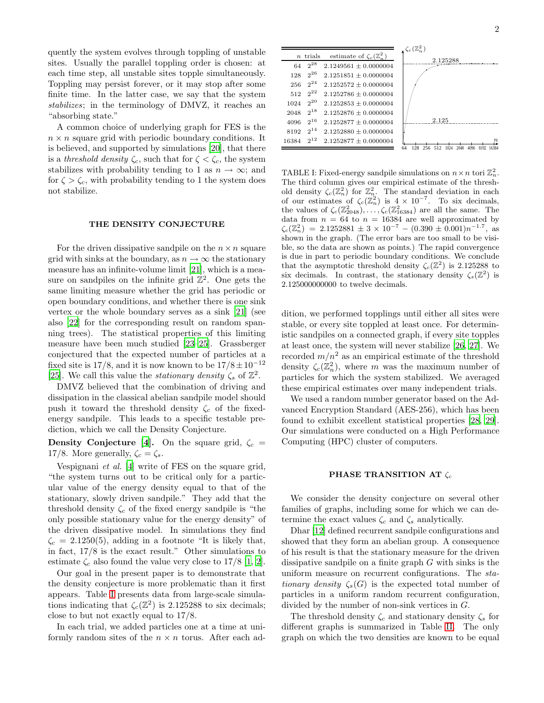quently the system evolves through toppling of unstable sites. Usually the parallel toppling order is chosen: at each time step, all unstable sites topple simultaneously. Toppling may persist forever, or it may stop after some finite time. In the latter case, we say that the system stabilizes; in the terminology of DMVZ, it reaches an "absorbing state."

A common choice of underlying graph for FES is the  $n \times n$  square grid with periodic boundary conditions. It is believed, and supported by simulations [\[20\]](#page-3-16), that there is a threshold density  $\zeta_c$ , such that for  $\zeta < \zeta_c$ , the system stabilizes with probability tending to 1 as  $n \to \infty$ ; and for  $\zeta > \zeta_c$ , with probability tending to 1 the system does not stabilize.

## THE DENSITY CONJECTURE

For the driven dissipative sandpile on the  $n \times n$  square grid with sinks at the boundary, as  $n \to \infty$  the stationary measure has an infinite-volume limit [\[21](#page-3-17)], which is a measure on sandpiles on the infinite grid  $Z^2$ . One gets the same limiting measure whether the grid has periodic or open boundary conditions, and whether there is one sink vertex or the whole boundary serves as a sink [\[21\]](#page-3-17) (see also [\[22\]](#page-3-18) for the corresponding result on random spanning trees). The statistical properties of this limiting measure have been much studied [\[23](#page-3-19)[–25\]](#page-3-20). Grassberger conjectured that the expected number of particles at a fixed site is  $17/8$ , and it is now known to be  $17/8 \pm 10^{-12}$ [\[25\]](#page-3-20). We call this value the *stationary density*  $\zeta_s$  of  $\mathbb{Z}^2$ .

DMVZ believed that the combination of driving and dissipation in the classical abelian sandpile model should push it toward the threshold density  $\zeta_c$  of the fixedenergy sandpile. This leads to a specific testable prediction, which we call the Density Conjecture.

**Density Conjecture** [\[4](#page-3-21)]. On the square grid,  $\zeta_c$  = 17/8. More generally,  $\zeta_c = \zeta_s$ .

Vespignani et al. [\[4\]](#page-3-21) write of FES on the square grid, "the system turns out to be critical only for a particular value of the energy density equal to that of the stationary, slowly driven sandpile." They add that the threshold density  $\zeta_c$  of the fixed energy sandpile is "the only possible stationary value for the energy density" of the driven dissipative model. In simulations they find  $\zeta_c = 2.1250(5)$ , adding in a footnote "It is likely that, in fact, 17/8 is the exact result." Other simulations to estimate  $\zeta_c$  also found the value very close to 17/8 [\[1,](#page-3-0) [2\]](#page-3-22).

Our goal in the present paper is to demonstrate that the density conjecture is more problematic than it first appears. Table [I](#page-1-0) presents data from large-scale simulations indicating that  $\zeta_c(\mathbb{Z}^2)$  is 2.125288 to six decimals; close to but not exactly equal to 17/8.

In each trial, we added particles one at a time at uniformly random sites of the  $n \times n$  torus. After each ad-

<span id="page-1-0"></span>

|       |            |                                       | $\zeta_c(\mathbb{Z}_n^2)$                                |
|-------|------------|---------------------------------------|----------------------------------------------------------|
|       | $n$ trials | estimate of $\zeta_c(\mathbb{Z}_n^2)$ | 2.125288                                                 |
| 64    | $2^{28}$   | $2.1249561 + 0.0000004$               |                                                          |
| 128   | $2^{26}$   | $2.1251851 \pm 0.0000004$             |                                                          |
| 256   | $2^{24}$   | $2.1252572 + 0.0000004$               |                                                          |
| 512   | $2^{22}$   | $2.1252786 \pm 0.0000004$             |                                                          |
| 1024  | $2^{20}$   | $2.1252853 + 0.0000004$               |                                                          |
| 2048  | $2^{18}$   | $2.1252876 + 0.0000004$               |                                                          |
| 4096  | $2^{16}$   | $2.1252877 + 0.0000004$               | 2.125                                                    |
| 8192  | $2^{14}$   | $2.1252880 + 0.0000004$               |                                                          |
| 16384 | $2^{12}$   | $2.1252877 + 0.0000004$               | $\boldsymbol{n}$                                         |
|       |            |                                       | 16384<br>128<br>2048<br>64<br>256<br>1024<br>512<br>4096 |

TABLE I: Fixed-energy sandpile simulations on  $n \times n$  tori  $\mathbb{Z}_n^2$ . The third column gives our empirical estimate of the threshold density  $\zeta_c(\mathbb{Z}_n^2)$  for  $\mathbb{Z}_n^2$ . The standard deviation in each of our estimates of  $\zeta_c(\mathbb{Z}_n^2)$  is  $4 \times 10^{-7}$ . To six decimals, the values of  $\zeta_c(\mathbb{Z}_{2048}^2), \ldots, \zeta_c(\mathbb{Z}_{16384}^2)$  are all the same. The data from  $n = 64$  to  $n = 16384$  are well approximated by  $\zeta_c(\mathbb{Z}_n^2) = 2.1252881 \pm 3 \times 10^{-7} - (0.390 \pm 0.001)n^{-1.7}$ , as shown in the graph. (The error bars are too small to be visible, so the data are shown as points.) The rapid convergence is due in part to periodic boundary conditions. We conclude that the asymptotic threshold density  $\zeta_c(\mathbb{Z}^2)$  is 2.125288 to six decimals. In contrast, the stationary density  $\zeta_s(\mathbb{Z}^2)$  is 2.125000000000 to twelve decimals.

dition, we performed topplings until either all sites were stable, or every site toppled at least once. For deterministic sandpiles on a connected graph, if every site topples at least once, the system will never stabilize [\[26,](#page-3-23) [27\]](#page-3-24). We recorded  $m/n^2$  as an empirical estimate of the threshold density  $\zeta_c(\mathbb{Z}_n^2)$ , where m was the maximum number of particles for which the system stabilized. We averaged these empirical estimates over many independent trials.

We used a random number generator based on the Advanced Encryption Standard (AES-256), which has been found to exhibit excellent statistical properties [\[28,](#page-3-25) [29\]](#page-3-26). Our simulations were conducted on a High Performance Computing (HPC) cluster of computers.

## PHASE TRANSITION AT  $\zeta_c$

We consider the density conjecture on several other families of graphs, including some for which we can determine the exact values  $\zeta_c$  and  $\zeta_s$  analytically.

Dhar [\[12](#page-3-8)] defined recurrent sandpile configurations and showed that they form an abelian group. A consequence of his result is that the stationary measure for the driven dissipative sandpile on a finite graph G with sinks is the uniform measure on recurrent configurations. The sta*tionary density*  $\zeta_s(G)$  is the expected total number of particles in a uniform random recurrent configuration, divided by the number of non-sink vertices in G.

The threshold density  $\zeta_c$  and stationary density  $\zeta_s$  for different graphs is summarized in Table [II.](#page-2-0) The only graph on which the two densities are known to be equal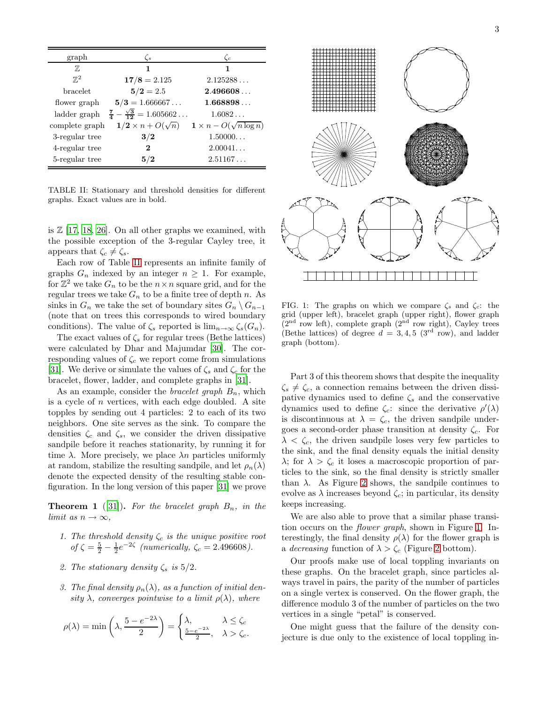<span id="page-2-0"></span>

| graph          | $\zeta_s$                                      | $\zeta_c$                         |
|----------------|------------------------------------------------|-----------------------------------|
| 77,            | 1                                              | 1                                 |
| $\mathbb{Z}^2$ | $17/8 = 2.125$                                 | 2.125288                          |
| bracelet       | $5/2 = 2.5$                                    | 2.496608                          |
| flower graph   | $5/3 = 1.666667$                               | 1.668898                          |
| ladder graph   | $\frac{7}{4} - \frac{\sqrt{3}}{12} = 1.605662$ | 1.6082                            |
| complete graph | $1/2 \times n + O(\sqrt{n})$                   | $1 \times n - O(\sqrt{n \log n})$ |
| 3-regular tree | 3/2                                            | 1.50000                           |
| 4-regular tree | $\bf{2}$                                       | 2.00041                           |
| 5-regular tree | 5/2                                            | 2.51167                           |

TABLE II: Stationary and threshold densities for different graphs. Exact values are in bold.

is  $\mathbb{Z}$  [\[17,](#page-3-14) [18,](#page-3-27) [26\]](#page-3-23). On all other graphs we examined, with the possible exception of the 3-regular Cayley tree, it appears that  $\zeta_c \neq \zeta_s$ .

Each row of Table [II](#page-2-0) represents an infinite family of graphs  $G_n$  indexed by an integer  $n \geq 1$ . For example, for  $\mathbb{Z}^2$  we take  $G_n$  to be the  $n \times n$  square grid, and for the regular trees we take  $G_n$  to be a finite tree of depth n. As sinks in  $G_n$  we take the set of boundary sites  $G_n \setminus G_{n-1}$ (note that on trees this corresponds to wired boundary conditions). The value of  $\zeta_s$  reported is  $\lim_{n\to\infty}\zeta_s(G_n)$ .

The exact values of  $\zeta_s$  for regular trees (Bethe lattices) were calculated by Dhar and Majumdar [\[30](#page-3-28)]. The corresponding values of  $\zeta_c$  we report come from simulations [\[31\]](#page-3-29). We derive or simulate the values of  $\zeta_s$  and  $\zeta_c$  for the bracelet, flower, ladder, and complete graphs in [\[31](#page-3-29)].

As an example, consider the *bracelet graph*  $B_n$ , which is a cycle of  $n$  vertices, with each edge doubled. A site topples by sending out 4 particles: 2 to each of its two neighbors. One site serves as the sink. To compare the densities  $\zeta_c$  and  $\zeta_s$ , we consider the driven dissipative sandpile before it reaches stationarity, by running it for time  $\lambda$ . More precisely, we place  $\lambda n$  particles uniformly at random, stabilize the resulting sandpile, and let  $\rho_n(\lambda)$ denote the expected density of the resulting stable configuration. In the long version of this paper [\[31\]](#page-3-29) we prove

**Theorem 1** ([\[31](#page-3-29)]). For the bracelet graph  $B_n$ , in the limit as  $n \to \infty$ ,

- 1. The threshold density  $\zeta_c$  is the unique positive root of  $\zeta = \frac{5}{2} - \frac{1}{2}e^{-2\zeta}$  (numerically,  $\zeta_c = 2.496608$ ).
- 2. The stationary density  $\zeta_s$  is  $5/2$ .
- 3. The final density  $\rho_n(\lambda)$ , as a function of initial density  $\lambda$ , converges pointwise to a limit  $\rho(\lambda)$ , where

$$
\rho(\lambda) = \min\left(\lambda, \frac{5 - e^{-2\lambda}}{2}\right) = \begin{cases} \lambda, & \lambda \le \zeta_c \\ \frac{5 - e^{-2\lambda}}{2}, & \lambda > \zeta_c. \end{cases}
$$

<span id="page-2-1"></span>

FIG. 1: The graphs on which we compare  $\zeta_s$  and  $\zeta_c$ : the grid (upper left), bracelet graph (upper right), flower graph  $(2<sup>nd</sup> row left)$ , complete graph  $(2<sup>nd</sup> row right)$ , Cayley trees (Bethe lattices) of degree  $d = 3, 4, 5$  (3<sup>rd</sup> row), and ladder graph (bottom).

Part 3 of this theorem shows that despite the inequality  $\zeta_s \neq \zeta_c$ , a connection remains between the driven dissipative dynamics used to define  $\zeta_s$  and the conservative dynamics used to define  $\zeta_c$ : since the derivative  $\rho'(\lambda)$ is discontinuous at  $\lambda = \zeta_c$ , the driven sandpile undergoes a second-order phase transition at density  $\zeta_c$ . For  $\lambda < \zeta_c$ , the driven sandpile loses very few particles to the sink, and the final density equals the initial density  $\lambda$ ; for  $\lambda > \zeta_c$  it loses a macroscopic proportion of particles to the sink, so the final density is strictly smaller than  $\lambda$ . As Figure [2](#page-3-30) shows, the sandpile continues to evolve as  $\lambda$  increases beyond  $\zeta_c$ ; in particular, its density keeps increasing.

We are also able to prove that a similar phase transition occurs on the flower graph, shown in Figure [1.](#page-2-1) Interestingly, the final density  $\rho(\lambda)$  for the flower graph is a decreasing function of  $\lambda > \zeta_c$  (Figure [2](#page-3-30) bottom).

Our proofs make use of local toppling invariants on these graphs. On the bracelet graph, since particles always travel in pairs, the parity of the number of particles on a single vertex is conserved. On the flower graph, the difference modulo 3 of the number of particles on the two vertices in a single "petal" is conserved.

One might guess that the failure of the density conjecture is due only to the existence of local toppling in-